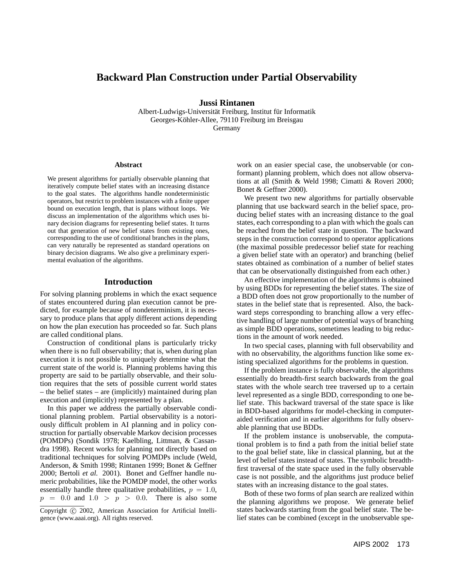# **Backward Plan Construction under Partial Observability**

**Jussi Rintanen**

Albert-Ludwigs-Universität Freiburg, Institut für Informatik Georges-Köhler-Allee, 79110 Freiburg im Breisgau Germany

**Abstract**

We present algorithms for partially observable planning that iteratively compute belief states with an increasing distance to the goal states. The algorithms handle nondeterministic operators, but restrict to problem instances with a finite upper bound on execution length, that is plans without loops. We discuss an implementation of the algorithms which uses binary decision diagrams for representing belief states. It turns out that generation of new belief states from existing ones, corresponding to the use of conditional branches in the plans, can very naturally be represented as standard operations on binary decision diagrams. We also give a preliminary experimental evaluation of the algorithms.

### **Introduction**

For solving planning problems in which the exact sequence of states encountered during plan execution cannot be predicted, for example because of nondeterminism, it is necessary to produce plans that apply different actions depending on how the plan execution has proceeded so far. Such plans are called conditional plans.

Construction of conditional plans is particularly tricky when there is no full observability; that is, when during plan execution it is not possible to uniquely determine what the current state of the world is. Planning problems having this property are said to be partially observable, and their solution requires that the sets of possible current world states – the belief states – are (implicitly) maintained during plan execution and (implicitly) represented by a plan.

In this paper we address the partially observable conditional planning problem. Partial observability is a notoriously difficult problem in AI planning and in policy construction for partially observable Markov decision processes (POMDPs) (Sondik 1978; Kaelbling, Littman, & Cassandra 1998). Recent works for planning not directly based on traditional techniques for solving POMDPs include (Weld, Anderson, & Smith 1998; Rintanen 1999; Bonet & Geffner 2000; Bertoli *et al.* 2001). Bonet and Geffner handle numeric probabilities, like the POMDP model, the other works essentially handle three qualitative probabilities,  $p = 1.0$ ,  $p = 0.0$  and  $1.0 > p > 0.0$ . There is also some

Copyright © 2002, American Association for Artificial Intelligence (www.aaai.org). All rights reserved.

work on an easier special case, the unobservable (or conformant) planning problem, which does not allow observations at all (Smith & Weld 1998; Cimatti & Roveri 2000; Bonet & Geffner 2000).

We present two new algorithms for partially observable planning that use backward search in the belief space, producing belief states with an increasing distance to the goal states, each corresponding to a plan with which the goals can be reached from the belief state in question. The backward steps in the construction correspond to operator applications (the maximal possible predecessor belief state for reaching a given belief state with an operator) and branching (belief states obtained as combination of a number of belief states that can be observationally distinguished from each other.)

An effective implementation of the algorithms is obtained by using BDDs for representing the belief states. The size of a BDD often does not grow proportionally to the number of states in the belief state that is represented. Also, the backward steps corresponding to branching allow a very effective handling of large number of potential ways of branching as simple BDD operations, sometimes leading to big reductions in the amount of work needed.

In two special cases, planning with full observability and with no observability, the algorithms function like some existing specialized algorithms for the problems in question.

If the problem instance is fully observable, the algorithms essentially do breadth-first search backwards from the goal states with the whole search tree traversed up to a certain level represented as a single BDD, corresponding to one belief state. This backward traversal of the state space is like in BDD-based algorithms for model-checking in computeraided verification and in earlier algorithms for fully observable planning that use BDDs.

If the problem instance is unobservable, the computational problem is to find a path from the initial belief state to the goal belief state, like in classical planning, but at the level of belief states instead of states. The symbolic breadthfirst traversal of the state space used in the fully observable case is not possible, and the algorithms just produce belief states with an increasing distance to the goal states.

Both of these two forms of plan search are realized within the planning algorithms we propose. We generate belief states backwards starting from the goal belief state. The belief states can be combined (except in the unobservable spe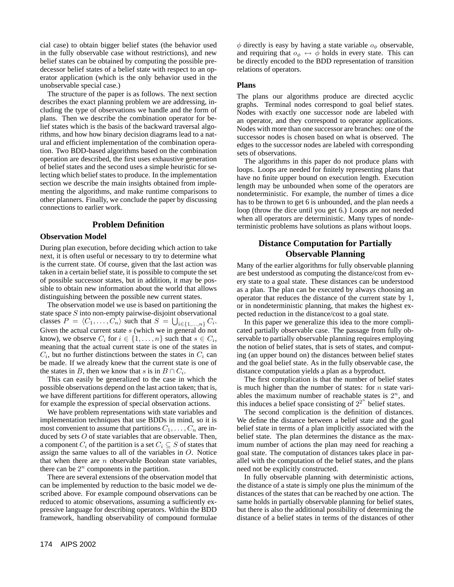cial case) to obtain bigger belief states (the behavior used in the fully observable case without restrictions), and new belief states can be obtained by computing the possible predecessor belief states of a belief state with respect to an operator application (which is the only behavior used in the unobservable special case.)

The structure of the paper is as follows. The next section describes the exact planning problem we are addressing, including the type of observations we handle and the form of plans. Then we describe the combination operator for belief states which is the basis of the backward traversal algorithms, and how how binary decision diagrams lead to a natural and efficient implementation of the combination operation. Two BDD-based algorithms based on the combination operation are described, the first uses exhaustive generation of belief states and the second uses a simple heuristic for selecting which belief states to produce. In the implementation section we describe the main insights obtained from implementing the algorithms, and make runtime comparisons to other planners. Finally, we conclude the paper by discussing connections to earlier work.

## **Problem Definition**

### **Observation Model**

During plan execution, before deciding which action to take next, it is often useful or necessary to try to determine what is the current state. Of course, given that the last action was taken in a certain belief state, it is possible to compute the set of possible successor states, but in addition, it may be possible to obtain new information about the world that allows distinguishing between the possible new current states.

The observation model we use is based on partitioning the state space S into non-empty pairwise-disjoint observational classes  $P = \langle C_1, \ldots, C_n \rangle$  such that  $S = \bigcup_{i \in \{1, \ldots, n\}} C_i$ . Given the actual current state s (which we in general do not know), we observe  $C_i$  for  $i \in \{1, ..., n\}$  such that  $s \in C_i$ , meaning that the actual current state is one of the states in  $C_i$ , but no further distinctions between the states in  $C_i$  can be made. If we already knew that the current state is one of the states in B, then we know that s is in  $B \cap C_i$ .

This can easily be generalized to the case in which the possible observations depend on the last action taken; that is, we have different partitions for different operators, allowing for example the expression of special observation actions.

We have problem representations with state variables and implementation techniques that use BDDs in mind, so it is most convenient to assume that partitions  $C_1, \ldots, C_n$  are induced by sets  $O$  of state variables that are observable. Then, a component  $C_i$  of the partition is a set  $C_i \subseteq S$  of states that assign the same values to all of the variables in O. Notice that when there are  $n$  observable Boolean state variables, there can be  $2^n$  components in the partition.

There are several extensions of the observation model that can be implemented by reduction to the basic model we described above. For example compound observations can be reduced to atomic observations, assuming a sufficiently expressive language for describing operators. Within the BDD framework, handling observability of compound formulae  $\phi$  directly is easy by having a state variable  $o_{\phi}$  observable, and requiring that  $o_{\phi} \leftrightarrow \phi$  holds in every state. This can be directly encoded to the BDD representation of transition relations of operators.

### **Plans**

The plans our algorithms produce are directed acyclic graphs. Terminal nodes correspond to goal belief states. Nodes with exactly one successor node are labeled with an operator, and they correspond to operator applications. Nodes with more than one successor are branches: one of the successor nodes is chosen based on what is observed. The edges to the successor nodes are labeled with corresponding sets of observations.

The algorithms in this paper do not produce plans with loops. Loops are needed for finitely representing plans that have no finite upper bound on execution length. Execution length may be unbounded when some of the operators are nondeterministic. For example, the number of times a dice has to be thrown to get 6 is unbounded, and the plan needs a loop (throw the dice until you get 6.) Loops are not needed when all operators are deterministic. Many types of nondeterministic problems have solutions as plans without loops.

# **Distance Computation for Partially Observable Planning**

Many of the earlier algorithms for fully observable planning are best understood as computing the distance/cost from every state to a goal state. These distances can be understood as a plan. The plan can be executed by always choosing an operator that reduces the distance of the current state by 1, or in nondeterministic planning, that makes the highest expected reduction in the distance/cost to a goal state.

In this paper we generalize this idea to the more complicated partially observable case. The passage from fully observable to partially observable planning requires employing the notion of belief states, that is sets of states, and computing (an upper bound on) the distances between belief states and the goal belief state. As in the fully observable case, the distance computation yields a plan as a byproduct.

The first complication is that the number of belief states is much higher than the number of states: for  $n$  state variables the maximum number of reachable states is  $2^n$ , and this induces a belief space consisting of  $2^{2^n}$  belief states.

The second complication is the definition of distances. We define the distance between a belief state and the goal belief state in terms of a plan implicitly associated with the belief state. The plan determines the distance as the maximum number of actions the plan may need for reaching a goal state. The computation of distances takes place in parallel with the computation of the belief states, and the plans need not be explicitly constructed.

In fully observable planning with deterministic actions, the distance of a state is simply one plus the minimum of the distances of the states that can be reached by one action. The same holds in partially observable planning for belief states, but there is also the additional possibility of determining the distance of a belief states in terms of the distances of other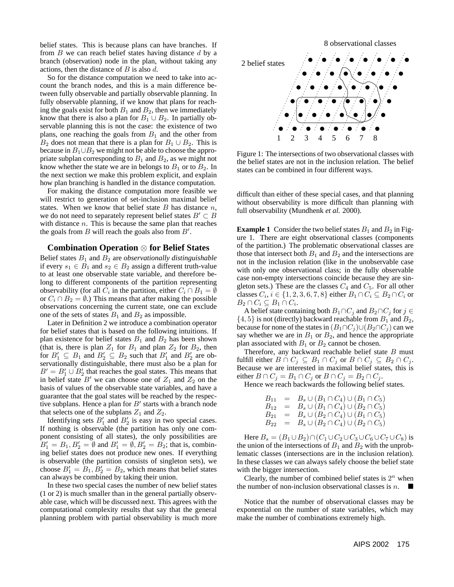belief states. This is because plans can have branches. If from  $B$  we can reach belief states having distance  $d$  by a branch (observation) node in the plan, without taking any actions, then the distance of  $B$  is also  $d$ .

So for the distance computation we need to take into account the branch nodes, and this is a main difference between fully observable and partially observable planning. In fully observable planning, if we know that plans for reaching the goals exist for both  $B_1$  and  $B_2$ , then we immediately know that there is also a plan for  $B_1 \cup B_2$ . In partially observable planning this is not the case: the existence of two plans, one reaching the goals from  $B_1$  and the other from  $B_2$  does not mean that there is a plan for  $B_1 \cup B_2$ . This is because in  $B_1 \cup B_2$  we might not be able to choose the appropriate subplan corresponding to  $B_1$  and  $B_2$ , as we might not know whether the state we are in belongs to  $B_1$  or to  $B_2$ . In the next section we make this problem explicit, and explain how plan branching is handled in the distance computation.

For making the distance computation more feasible we will restrict to generation of set-inclusion maximal belief states. When we know that belief state  $B$  has distance  $n$ , we do not need to separately represent belief states  $B' \subset B$ with distance  $n$ . This is because the same plan that reaches the goals from  $B$  will reach the goals also from  $B'$ .

### **Combination Operation** ⊗ **for Belief States**

Belief states B<sup>1</sup> and B<sup>2</sup> are *observationally distinguishable* if every  $s_1 \in B_1$  and  $s_2 \in B_2$  assign a different truth-value to at least one observable state variable, and therefore belong to different components of the partition representing observability (for all  $C_i$  in the partition, either  $C_i \cap B_1 = \emptyset$ or  $C_i \cap B_2 = \emptyset$ .) This means that after making the possible observations concerning the current state, one can exclude one of the sets of states  $B_1$  and  $B_2$  as impossible.

Later in Definition 2 we introduce a combination operator for belief states that is based on the following intuitions. If plan existence for belief states  $B_1$  and  $B_2$  has been shown (that is, there is plan  $Z_1$  for  $B_1$  and plan  $Z_2$  for  $B_2$ , then for  $B'_1 \subseteq B_1$  and  $B'_2 \subseteq B_2$  such that  $B'_1$  and  $B'_2$  are observationally distinguishable, there must also be a plan for  $B' = B_1' \cup B_2'$  that reaches the goal states. This means that in belief state  $B'$  we can choose one of  $Z_1$  and  $Z_2$  on the basis of values of the observable state variables, and have a guarantee that the goal states will be reached by the respective subplans. Hence a plan for  $B'$  starts with a branch node that selects one of the subplans  $Z_1$  and  $Z_2$ .

Identifying sets  $B'_1$  and  $B'_2$  is easy in two special cases. If nothing is observable (the partition has only one component consisting of all states), the only possibilities are  $B_1' = B_1, B_2' = \emptyset$  and  $B_1' = \emptyset, B_2' = B_2$ ; that is, combining belief states does not produce new ones. If everything is observable (the partition consists of singleton sets), we choose  $B'_1 = B_1, B'_2 = B_2$ , which means that belief states can always be combined by taking their union.

In these two special cases the number of new belief states (1 or 2) is much smaller than in the general partially observable case, which will be discussed next. This agrees with the computational complexity results that say that the general planning problem with partial observability is much more



Figure 1: The intersections of two observational classes with the belief states are not in the inclusion relation. The belief states can be combined in four different ways.

difficult than either of these special cases, and that planning without observability is more difficult than planning with full observability (Mundhenk *et al.* 2000).

**Example 1** Consider the two belief states  $B_1$  and  $B_2$  in Figure 1. There are eight observational classes (components of the partition.) The problematic observational classes are those that intersect both  $B_1$  and  $B_2$  and the intersections are not in the inclusion relation (like in the unobservable case with only one observational class; in the fully observable case non-empty intersections coincide because they are singleton sets.) These are the classes  $C_4$  and  $C_5$ . For all other classes  $C_i$ ,  $i \in \{1, 2, 3, 6, 7, 8\}$  either  $B_1 \cap C_i \subseteq B_2 \cap C_i$  or  $B_2 \cap C_i \subseteq B_1 \cap C_i.$ 

A belief state containing both  $B_1 \cap C_j$  and  $B_2 \cap C_j$  for  $j \in$  $\{4, 5\}$  is not (directly) backward reachable from  $B_1$  and  $B_2$ , because for none of the states in  $(B_1 \cap C_j) \cup (B_2 \cap C_j)$  can we say whether we are in  $B_1$  or  $B_2$ , and hence the appropriate plan associated with  $B_1$  or  $B_2$  cannot be chosen.

Therefore, any backward reachable belief state  $B$  must fulfill either  $B \cap C_j \subseteq B_1 \cap C_j$  or  $B \cap C_j \subseteq B_2 \cap C_j$ . Because we are interested in maximal belief states, this is either  $B \cap C_j = B_1 \cap C_j$  or  $B \cap C_j = B_2 \cap C_j$ .

Hence we reach backwards the following belief states.

$$
B_{11} = B_s \cup (B_1 \cap C_4) \cup (B_1 \cap C_5) \n B_{12} = B_s \cup (B_1 \cap C_4) \cup (B_2 \cap C_5) \n B_{21} = B_s \cup (B_2 \cap C_4) \cup (B_1 \cap C_5) \n B_{22} = B_s \cup (B_2 \cap C_4) \cup (B_2 \cap C_5)
$$

Here  $B_s = (B_1 \cup B_2) \cap (C_1 \cup C_2 \cup C_3 \cup C_6 \cup C_7 \cup C_8)$  is the union of the intersections of  $B_1$  and  $B_2$  with the unproblematic classes (intersections are in the inclusion relation). In these classes we can always safely choose the belief state with the bigger intersection.

Clearly, the number of combined belief states is  $2^n$  when the number of non-inclusion observational classes is  $n$ .

Notice that the number of observational classes may be exponential on the number of state variables, which may make the number of combinations extremely high.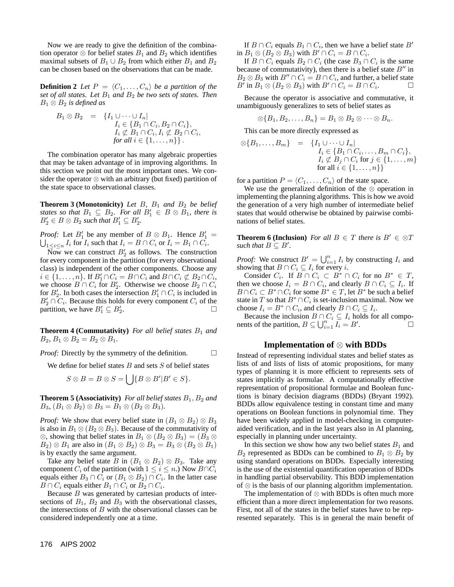Now we are ready to give the definition of the combination operator  $\otimes$  for belief states  $B_1$  and  $B_2$  which identifies maximal subsets of  $B_1 \cup B_2$  from which either  $B_1$  and  $B_2$ can be chosen based on the observations that can be made.

**Definition 2** Let  $P = \langle C_1, \ldots, C_n \rangle$  be a partition of the *set of all states. Let*  $B_1$  *and*  $B_2$  *be two sets of states. Then* B<sup>1</sup> ⊗ B<sup>2</sup> *is defined as*

$$
B_1 \otimes B_2 = \{I_1 \cup \cdots \cup I_n | \nI_i \in \{B_1 \cap C_i, B_2 \cap C_i\}, \nI_i \not\subset B_1 \cap C_i, I_i \not\subset B_2 \cap C_i, \nfor all  $i \in \{1, ..., n\}\}.$
$$

The combination operator has many algebraic properties that may be taken advantage of in improving algorithms. In this section we point out the most important ones. We consider the operator ⊗ with an arbitrary (but fixed) partition of the state space to observational classes.

**Theorem 3 (Monotonicity)** *Let*  $B$ ,  $B_1$  *and*  $B_2$  *be belief states so that*  $B_1 \subseteq B_2$ *. For all*  $B'_1 \in B \otimes B_1$ *, there is*  $B'_2 \in B \otimes B_2$  such that  $B'_1 \subseteq B'_2$ .

*Proof:* Let  $B'_1$  be any member of  $B \otimes B_1$ . Hence  $B'_1 =$  $\bigcup_{1\leq i\leq n}I_i$  for  $I_i$  such that  $I_i=B\cap C_i$  or  $I_i=B_1\cap C_i.$ 

 $\overline{\text{Now}}$  we can construct  $B_2'$  as follows. The construction for every component in the partition (for every observational class) is independent of the other components. Choose any  $i \in \{1, \ldots, n\}$ . If  $B'_1 \cap C_i = B \cap C_i$  and  $B \cap C_i \not\subset B_2 \cap C_i$ , we choose  $B \cap C_i$  for  $B'_2$ . Otherwise we choose  $B_2 \cap C_i$ for  $B_2'$ . In both cases the intersection  $B_1' \cap C_i$  is included in  $B'_2 \cap C_i$ . Because this holds for every component  $C_i$  of the partition, we have  $B'_1 \subseteq B'_2$ .

**Theorem 4 (Commutativity)** *For all belief states*  $B_1$  *and*  $B_2, B_1 \otimes B_2 = B_2 \otimes B_1.$ 

*Proof:* Directly by the symmetry of the definition.

We define for belief states  $B$  and sets  $S$  of belief states

$$
S \otimes B = B \otimes S = \bigcup \{ B \otimes B' | B' \in S \}.
$$

**Theorem 5 (Associativity)** *For all belief states*  $B_1$ ,  $B_2$  *and*  $B_3$ ,  $(B_1 \otimes B_2) \otimes B_3 = B_1 \otimes (B_2 \otimes B_3)$ .

*Proof:* We show that every belief state in  $(B_1 \otimes B_2) \otimes B_3$ is also in  $B_1 \otimes (B_2 \otimes B_3)$ . Because of the commutativity of ⊗, showing that belief states in  $B_1 \otimes (B_2 \otimes B_3) = (B_3 \otimes B_1)$  $B_2$ ) ⊗  $B_1$  are also in  $(B_1 \otimes B_2) \otimes B_3 = B_3 \otimes (B_2 \otimes B_1)$ is by exactly the same argument.

Take any belief state B in  $(B_1 \otimes B_2) \otimes B_3$ . Take any component  $C_i$  of the partition (with  $1 \leq i \leq n$ .) Now  $B \cap C_i$ equals either  $B_3 \cap C_i$  or  $(B_1 \otimes B_2) \cap C_i$ . In the latter case  $B \cap C_i$  equals either  $B_1 \cap C_i$  or  $B_2 \cap C_i$ .

Because  $B$  was generated by cartesian products of intersections of  $B_1$ ,  $B_2$  and  $B_3$  with the observational classes, the intersections of  $B$  with the observational classes can be considered independently one at a time.

If  $B \cap C_i$  equals  $B_1 \cap C_i$ , then we have a belief state  $B'$ in  $B_1 \otimes (B_2 \otimes B_3)$  with  $B' \cap C_i = B \cap C_i$ .

If  $B \cap C_i$  equals  $B_2 \cap C_i$  (the case  $B_3 \cap C_i$  is the same because of commutativity), then there is a belief state  $B''$  in  $B_2 \otimes B_3$  with  $B'' \cap C_i = B \cap C_i$ , and further, a belief state B' in  $B_1 \otimes (B_2 \otimes B_3)$  with  $B' \cap C_i = B \cap C_i$ .

Because the operator is associative and commutative, it unambiguously generalizes to sets of belief states as

$$
\otimes \{B_1, B_2, \ldots, B_n\} = B_1 \otimes B_2 \otimes \cdots \otimes B_n.
$$

This can be more directly expressed as

$$
\otimes \{B_1, \ldots, B_m\} = \{I_1 \cup \cdots \cup I_n | \nI_i \in \{B_1 \cap C_i, \ldots, B_m \cap C_i\}, \nI_i \nsubseteq B_j \cap C_i \text{ for } j \in \{1, \ldots, m\} \n\text{ for all } i \in \{1, \ldots, n\}\}
$$

for a partition  $P = \langle C_1, \ldots, C_n \rangle$  of the state space.

We use the generalized definition of the ⊗ operation in implementing the planning algorithms. This is how we avoid the generation of a very high number of intermediate belief states that would otherwise be obtained by pairwise combinations of belief states.

**Theorem 6 (Inclusion)** *For all*  $B \in T$  *there is*  $B' \in \mathcal{D}T$ *such that*  $B \subseteq B'$ *.* 

*Proof:* We construct  $B' = \bigcup_{i=1}^n I_i$  by constructing  $I_i$  and showing that  $B \cap C_i \subseteq I_i$  for every *i*.

Consider  $C_i$ . If  $B \cap C_i \subset B^* \cap C_i$  for no  $B^* \in T$ , then we choose  $I_i = B \cap C_i$ , and clearly  $B \cap C_i \subseteq I_i$ . If  $B \cap C_i \subset B^* \cap C_i$  for some  $B^* \in T$ , let  $B^*$  be such a belief state in T so that  $B^* \cap C_i$  is set-inclusion maximal. Now we choose  $I_i = B^* \cap C_i$ , and clearly  $B \cap C_i \subseteq I_i$ .

Because the inclusion  $B \cap C_i \subseteq I_i$  holds for all components of the partition,  $B \subseteq \bigcup_{i=1}^{n} \overline{I_i} = B'$ . <sup>1</sup>□

#### **Implementation of** ⊗ **with BDDs**

Instead of representing individual states and belief states as lists of and lists of lists of atomic propositions, for many types of planning it is more efficient to represents sets of states implicitly as formulae. A computationally effective representation of propositional formulae and Boolean functions is binary decision diagrams (BDDs) (Bryant 1992). BDDs allow equivalence testing in constant time and many operations on Boolean functions in polynomial time. They have been widely applied in model-checking in computeraided verification, and in the last years also in AI planning, especially in planning under uncertainty.

In this section we show how any two belief states  $B_1$  and  $B_2$  represented as BDDs can be combined to  $B_1 \otimes B_2$  by using standard operations on BDDs. Especially interesting is the use of the existential quantification operation of BDDs in handling partial observability. This BDD implementation of ⊗ is the basis of our planning algorithm implementation.

The implementation of ⊗ with BDDs is often much more efficient than a more direct implementation for two reasons. First, not all of the states in the belief states have to be represented separately. This is in general the main benefit of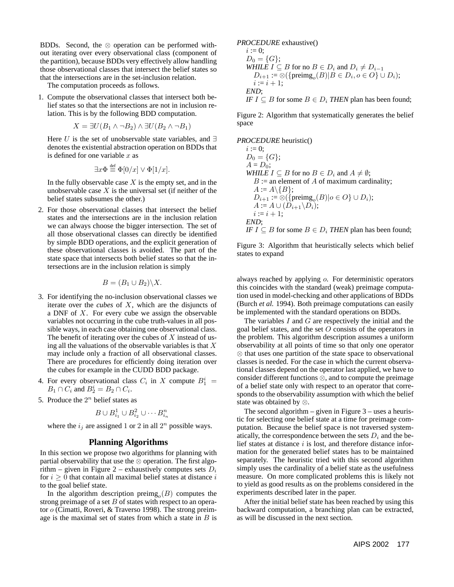BDDs. Second, the  $\otimes$  operation can be performed without iterating over every observational class (component of the partition), because BDDs very effectively allow handling those observational classes that intersect the belief states so that the intersections are in the set-inclusion relation.

The computation proceeds as follows.

1. Compute the observational classes that intersect both belief states so that the intersections are not in inclusion relation. This is by the following BDD computation.

$$
X = \exists U (B_1 \land \neg B_2) \land \exists U (B_2 \land \neg B_1)
$$

Here U is the set of unobservable state variables, and  $\exists$ denotes the existential abstraction operation on BDDs that is defined for one variable  $x$  as

$$
\exists x \Phi \stackrel{\text{def}}{=} \Phi[0/x] \vee \Phi[1/x].
$$

def

In the fully observable case  $X$  is the empty set, and in the unobservable case  $X$  is the universal set (if neither of the belief states subsumes the other.)

2. For those observational classes that intersect the belief states and the intersections are in the inclusion relation we can always choose the bigger intersection. The set of all those observational classes can directly be identified by simple BDD operations, and the explicit generation of these observational classes is avoided. The part of the state space that intersects both belief states so that the intersections are in the inclusion relation is simply

$$
B=(B_1\cup B_2)\backslash X.
$$

- 3. For identifying the no-inclusion observational classes we iterate over the *cubes* of X, which are the disjuncts of a DNF of  $X$ . For every cube we assign the observable variables not occurring in the cube truth-values in all possible ways, in each case obtaining one observational class. The benefit of iterating over the cubes of  $X$  instead of using all the valuations of the observable variables is that  $X$ may include only a fraction of all observational classes. There are procedures for efficiently doing iteration over the cubes for example in the CUDD BDD package.
- 4. For every observational class  $C_i$  in X compute  $B_1^i$  =  $B_1 \cap C_i$  and  $B_2^i = B_2 \cap C_i$ .
- 5. Produce the  $2^n$  belief states as

$$
B \cup B_{i_1}^1 \cup B_{i_2}^2 \cup \cdots B_{i_n}^n
$$

where the  $i_j$  are assigned 1 or 2 in all  $2^n$  possible ways.

### **Planning Algorithms**

In this section we propose two algorithms for planning with partial observability that use the ⊗ operation. The first algorithm – given in Figure 2 – exhaustively computes sets  $D_i$ for  $i \geq 0$  that contain all maximal belief states at distance i to the goal belief state.

In the algorithm description preimg<sub>o</sub> $(B)$  computes the strong preimage of a set  $B$  of states with respect to an operator o (Cimatti, Roveri, & Traverso 1998). The strong preimage is the maximal set of states from which a state in  $B$  is

# *PROCEDURE* exhaustive()

*i* := 0;  
\n
$$
D_0 = \{G\};
$$
  
\n*WHILE I*  $\subseteq$  *B* for no  $B \in D_i$  and  $D_i \neq D_{i-1}$   
\n $D_{i+1} := \otimes (\{\text{preimg}_o(B)|B \in D_i, o \in O\} \cup D_i);$   
\n*i* := *i* + 1;  
\n*END*;  
\n*IF I*  $\subseteq$  *B* for some  $B \in D_i$  *THEN* plan has been found;

Figure 2: Algorithm that systematically generates the belief space

*PROCEDURE* heuristic()

*i* := 0;  
\n
$$
D_0 = \{G\};
$$
  
\n $A = D_0;$   
\n*WHILE I*  $\subseteq$  *B* for no  $B \in D_i$  and  $A \neq \emptyset$ ;  
\n $B :=$  an element of *A* of maximum cardinality;  
\n $A := A \setminus \{B\};$   
\n $D_{i+1} := \otimes (\{preimg_o(B) | o \in O\} \cup D_i);$   
\n $A := A \cup (D_{i+1} \setminus D_i);$   
\n $i := i + 1;$   
\n*END*;  
\n*IF I*  $\subseteq$  *B* for some  $B \in D_i$  *THEN* plan has been found;

Figure 3: Algorithm that heuristically selects which belief states to expand

always reached by applying o. For deterministic operators this coincides with the standard (weak) preimage computation used in model-checking and other applications of BDDs (Burch *et al.* 1994). Both preimage computations can easily be implemented with the standard operations on BDDs.

The variables  $I$  and  $G$  are respectively the initial and the goal belief states, and the set  $O$  consists of the operators in the problem. This algorithm description assumes a uniform observability at all points of time so that only one operator ⊗ that uses one partition of the state space to observational classes is needed. For the case in which the current observational classes depend on the operator last applied, we have to consider different functions ⊗, and to compute the preimage of a belief state only with respect to an operator that corresponds to the observability assumption with which the belief state was obtained by ⊗.

The second algorithm  $-$  given in Figure  $3 -$  uses a heuristic for selecting one belief state at a time for preimage computation. Because the belief space is not traversed systematically, the correspondence between the sets  $D_i$  and the belief states at distance  $i$  is lost, and therefore distance information for the generated belief states has to be maintained separately. The heuristic tried with this second algorithm simply uses the cardinality of a belief state as the usefulness measure. On more complicated problems this is likely not to yield as good results as on the problems considered in the experiments described later in the paper.

After the initial belief state has been reached by using this backward computation, a branching plan can be extracted, as will be discussed in the next section.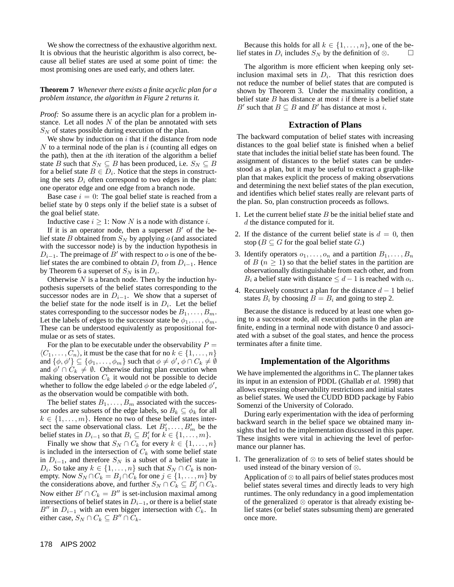We show the correctness of the exhaustive algorithm next. It is obvious that the heuristic algorithm is also correct, because all belief states are used at some point of time: the most promising ones are used early, and others later.

### **Theorem 7** *Whenever there exists a finite acyclic plan for a problem instance, the algorithm in Figure 2 returns it.*

*Proof:* So assume there is an acyclic plan for a problem instance. Let all nodes  $N$  of the plan be annotated with sets  $S_N$  of states possible during execution of the plan.

We show by induction on  $i$  that if the distance from node  $N$  to a terminal node of the plan is i (counting all edges on the path), then at the  $i$ th iteration of the algorithm a belief state B such that  $S_N \subseteq B$  has been produced, i.e.  $S_N \subseteq B$ for a belief state  $B \in D_i$ . Notice that the steps in constructing the sets  $D_i$  often correspond to two edges in the plan: one operator edge and one edge from a branch node.

Base case  $i = 0$ : The goal belief state is reached from a belief state by 0 steps only if the belief state is a subset of the goal belief state.

Inductive case  $i \geq 1$ : Now N is a node with distance i.

If it is an operator node, then a superset  $B'$  of the belief state B obtained from  $S_N$  by applying o (and associated with the successor node) is by the induction hypothesis in  $D_{i-1}$ . The preimage of B' with respect to o is one of the belief states the are combined to obtain  $D_i$  from  $D_{i-1}$ . Hence by Theorem 6 a superset of  $S_N$  is in  $D_i$ .

Otherwise  $N$  is a branch node. Then by the induction hypothesis supersets of the belief states corresponding to the successor nodes are in  $D_{i-1}$ . We show that a superset of the belief state for the node itself is in  $D_i$ . Let the belief states corresponding to the successor nodes be  $B_1, \ldots, B_m$ . Let the labels of edges to the successor state be  $\phi_1, \ldots, \phi_m$ . These can be understood equivalently as propositional formulae or as sets of states.

For the plan to be executable under the observability  $P =$  $\langle C_1, \ldots, C_n \rangle$ , it must be the case that for no  $k \in \{1, \ldots, n\}$ and  $\{\phi, \phi'\}\subseteq \{\phi_1, \ldots, \phi_m\}$  such that  $\phi\neq \phi',$   $\phi\cap C_k\neq \emptyset$ and  $\phi' \cap C_k \neq \emptyset$ . Otherwise during plan execution when making observation  $C_k$  it would not be possible to decide whether to follow the edge labeled  $\phi$  or the edge labeled  $\phi'$ , as the observation would be compatible with both.

The belief states  $B_1, \ldots, B_m$  associated with the successor nodes are subsets of the edge labels, so  $B_k \subseteq \phi_k$  for all  $k \in \{1, \ldots, m\}$ . Hence no two of these belief states intersect the same observational class. Let  $B'_1, \ldots, B'_m$  be the belief states in  $D_{i-1}$  so that  $B_i \subseteq B'_i$  for  $k \in \{1, \ldots, m\}$ .

Finally we show that  $S_N \cap C_k$  for every  $k \in \{1, \ldots, n\}$ is included in the intersection of  $C_k$  with some belief state in  $D_{i-1}$ , and therefore  $S_N$  is a subset of a belief state in  $D_i$ . So take any  $k \in \{1, ..., n\}$  such that  $S_N \cap C_k$  is nonempty. Now  $S_N \cap C_k = B_j \cap C_k$  for one  $j \in \{1, \dots, m\}$  by the considerations above, and further  $S_N \cap C_k \subseteq B_j' \cap C_k$ . Now either  $B' \cap C_k = B''$  is set-inclusion maximal among intersections of belief states in  $D_{i-1}$ , or there is a belief state B<sup>0</sup> in  $D_{i-1}$  with an even bigger intersection with  $C_k$ . In either case,  $S_N \cap C_k \subseteq B'' \cap C_k$ .

Because this holds for all  $k \in \{1, \ldots, n\}$ , one of the belief states in  $D_i$  includes  $S_N$  by the definition of  $\otimes$ .  $\Box$ 

The algorithm is more efficient when keeping only setinclusion maximal sets in  $D_i$ . That this resriction does not reduce the number of belief states that are computed is shown by Theorem 3. Under the maximality condition, a belief state  $B$  has distance at most  $i$  if there is a belief state B' such that  $B \subseteq B$  and B' has distance at most i.

#### **Extraction of Plans**

The backward computation of belief states with increasing distances to the goal belief state is finished when a belief state that includes the initial belief state has been found. The assignment of distances to the belief states can be understood as a plan, but it may be useful to extract a graph-like plan that makes explicit the process of making observations and determining the next belief states of the plan execution, and identifies which belief states really are relevant parts of the plan. So, plan construction proceeds as follows.

- 1. Let the current belief state  $B$  be the initial belief state and d the distance computed for it.
- 2. If the distance of the current belief state is  $d = 0$ , then stop ( $B \subseteq G$  for the goal belief state G.)
- 3. Identify operators  $o_1, \ldots, o_n$  and a partition  $B_1, \ldots, B_n$ of  $B(n \geq 1)$  so that the belief states in the partition are observationally distinguishable from each other, and from  $B_i$  a belief state with distance  $\leq d-1$  is reached with  $o_i$ .
- 4. Recursively construct a plan for the distance  $d-1$  belief states  $B_i$  by choosing  $B = B_i$  and going to step 2.

Because the distance is reduced by at least one when going to a successor node, all execution paths in the plan are finite, ending in a terminal node with distance 0 and associated with a subset of the goal states, and hence the process terminates after a finite time.

#### **Implementation of the Algorithms**

We have implemented the algorithms in C. The planner takes its input in an extension of PDDL (Ghallab *et al.* 1998) that allows expressing observability restrictions and initial states as belief states. We used the CUDD BDD package by Fabio Somenzi of the University of Colorado.

During early experimentation with the idea of performing backward search in the belief space we obtained many insights that led to the implementation discussed in this paper. These insights were vital in achieving the level of performance our planner has.

1. The generalization of ⊗ to sets of belief states should be used instead of the binary version of ⊗.

Application of ⊗ to all pairs of belief states produces most belief states several times and directly leads to very high runtimes. The only redundancy in a good implementation of the generalized ⊗ operator is that already existing belief states (or belief states subsuming them) are generated once more.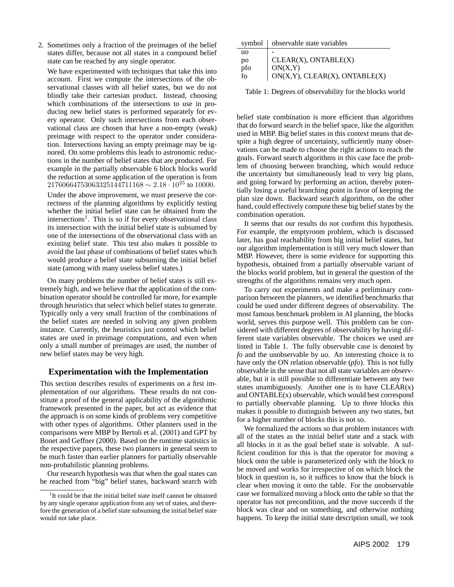2. Sometimes only a fraction of the preimages of the belief states differ, because not all states in a compound belief state can be reached by any single operator.

We have experimented with techniques that take this into account. First we compute the intersections of the observational classes with all belief states, but we do not blindly take their cartesian product. Instead, choosing which combinations of the intersections to use in producing new belief states is performed separately for every operator. Only such intersections from each observational class are chosen that have a non-empty (weak) preimage with respect to the operator under consideration. Intersections having an empty preimage may be ignored. On some problems this leads to astronomic reductions in the number of belief states that are produced. For example in the partially observable 6 block blocks world the reduction at some application of the operation is from  $21760664753063325144711168 \sim 2.18 \cdot 10^{25}$  to 10000.

Under the above improvement, we must preserve the correctness of the planning algorithms by explicitly testing whether the initial belief state can be obtained from the intersections<sup>1</sup>. This is so if for every observational class its intersection with the initial belief state is subsumed by one of the intersections of the observational class with an existing belief state. This test also makes it possible to avoid the last phase of combinations of belief states which would produce a belief state subsuming the initial belief state (among with many useless belief states.)

On many problems the number of belief states is still extremely high, and we believe that the application of the combination operator should be controlled far more, for example through heuristics that select which belief states to generate. Typically only a very small fraction of the combinations of the belief states are needed in solving any given problem instance. Currently, the heuristics just control which belief states are used in preimage computations, and even when only a small number of preimages are used, the number of new belief states may be very high.

### **Experimentation with the Implementation**

This section describes results of experiments on a first implementation of our algorithms. These results do not constitute a proof of the general applicability of the algorithmic framework presented in the paper, but act as evidence that the approach is on some kinds of problems very competitive with other types of algorithms. Other planners used in the comparisons were MBP by Bertoli et al. (2001) and GPT by Bonet and Geffner (2000). Based on the runtime statistics in the respective papers, these two planners in general seem to be much faster than earlier planners for partially observable non-probabilistic planning problems.

Our research hypothesis was that when the goal states can be reached from "big" belief states, backward search with

|              | symbol   observable state variables |
|--------------|-------------------------------------|
| uо           |                                     |
| po           | CLEAR(X), ONTABLE(X)                |
| pfo          | ON(X,Y)                             |
| $f_{\Omega}$ | ON(X,Y), CLEAR(X), ONTABLE(X)       |

Table 1: Degrees of observability for the blocks world

belief state combination is more efficient than algorithms that do forward search in the belief space, like the algorithm used in MBP. Big belief states in this context means that despite a high degree of uncertainty, sufficiently many observations can be made to choose the right actions to reach the goals. Forward search algorithms in this case face the problem of choosing between branching, which would reduce the uncertainty but simultaneously lead to very big plans, and going forward by performing an action, thereby potentially losing a useful branching point in favor of keeping the plan size down. Backward search algorithms, on the other hand, could effectively compute these big belief states by the combination operation.

It seems that our results do not confirm this hypothesis. For example, the emptyroom problem, which is discussed later, has goal reachability from big initial belief states, but our algorithm implementation is still very much slower than MBP. However, there is some evidence for supporting this hypothesis, obtained from a partially observable variant of the blocks world problem, but in general the question of the strengths of the algorithms remains very much open.

To carry out experiments and make a preliminary comparison between the planners, we identified benchmarks that could be used under different degrees of observability. The most famous benchmark problem in AI planning, the blocks world, serves this purpose well. This problem can be considered with different degrees of observability by having different state variables observable. The choices we used are listed in Table 1. The fully observable case is denoted by *fo* and the unobservable by *uo*. An interesting choice is to have only the ON relation observable (*pfo*). This is not fully observable in the sense that not all state variables are observable, but it is still possible to differentiate between any two states unambiguously. Another one is to have  $CLEAR(x)$ and ONTABLE(x) observable, which would best correspond to partially observable planning. Up to three blocks this makes it possible to distinguish between any two states, but for a higher number of blocks this is not so.

We formalized the actions so that problem instances with all of the states as the initial belief state and a stack with all blocks in it as the goal belief state is solvable. A sufficient condition for this is that the operator for moving a block onto the table is parameterized only with the block to be moved and works for irrespective of on which block the block in question is, so it suffices to know that the block is clear when moving it onto the table. For the unobservable case we formalized moving a block onto the table so that the operator has not precondition, and the move succeeds if the block was clear and on something, and otherwise nothing happens. To keep the initial state description small, we took

<sup>&</sup>lt;sup>1</sup>It could be that the initial belief state itself cannot be obtained by any single operator application from any set of states, and therefore the generation of a belief state subsuming the initial belief state would not take place.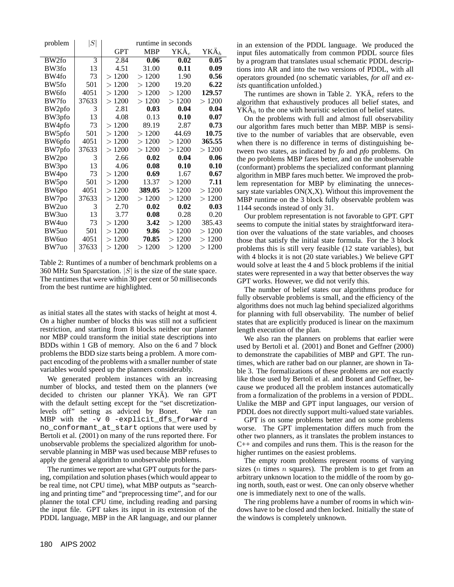| problem           | S     | runtime in seconds   |                      |                      |                |  |
|-------------------|-------|----------------------|----------------------|----------------------|----------------|--|
|                   |       | <b>GPT</b>           | <b>MBP</b>           | $YK\ddot{A}_e$       | $YK\ddot{A}_h$ |  |
| BW <sub>2fo</sub> | 3     | 2.84                 | 0.06                 | 0.02                 | 0.05           |  |
| BW3fo             | 13    | 4.51                 | 31.00                | 0.11                 | 0.09           |  |
| BW4fo             | 73    | 1200<br>$\gt$        | 1200<br>$\mathbf{L}$ | 1.90                 | 0.56           |  |
| BW <sub>5fo</sub> | 501   | 1200<br>$\gt$        | >1200                | 19.20                | 6.22           |  |
| BW6fo             | 4051  | >1200                | >1200                | 1200<br>$\mathbf{L}$ | 129.57         |  |
| BW7fo             | 37633 | >1200                | >1200                | >1200                | >1200          |  |
| BW2pfo            | 3     | 2.81                 | 0.03                 | 0.04                 | 0.04           |  |
| BW3pfo            | 13    | 4.08                 | 0.13                 | 0.10                 | 0.07           |  |
| BW4pfo            | 73    | 1200<br>$\gt$        | 89.19                | 2.87                 | 0.73           |  |
| BW5pfo            | 501   | >1200                | 1200<br>$\gt$        | 44.69                | 10.75          |  |
| BW6pfo            | 4051  | 1200<br>$\gt$        | >1200                | 1200<br>$\gt$        | 365.55         |  |
| BW7pfo            | 37633 | >1200                | >1200                | >1200                | 1200<br>$\gt$  |  |
| BW <sub>2po</sub> | 3     | 2.66                 | 0.02                 | 0.04                 | 0.06           |  |
| BW3po             | 13    | 4.06                 | 0.08                 | 0.10                 | 0.10           |  |
| BW4po             | 73    | 1200<br>$\mathbf{r}$ | 0.69                 | 1.67                 | 0.67           |  |
| BW5po             | 501   | 1200<br>$\gt$        | 13.37                | 1200<br>$\gt$        | 7.11           |  |
| BW6po             | 4051  | >1200                | 389.05               | >1200                | 1200<br>$\geq$ |  |
| BW7po             | 37633 | >1200                | >1200                | >1200                | 1200<br>$\gt$  |  |
| BW <sub>2uo</sub> | 3     | 2.70                 | 0.02                 | 0.02                 | 0.03           |  |
| BW3uo             | 13    | 3.77                 | 0.08                 | 0.28                 | 0.20           |  |
| BW4uo             | 73    | 1200<br>$\mathbf{I}$ | 3.42                 | 1200<br>$\gt$        | 385.43         |  |
| BW5uo             | 501   | >1200                | 9.86                 | >1200                | >1200          |  |
| BW6uo             | 4051  | >1200                | 70.85                | >1200                | >1200          |  |
| BW7uo             | 37633 | 1200<br>$\gt$        | 1200<br>$\gt$        | >1200                | >1200          |  |

Table 2: Runtimes of a number of benchmark problems on a 360 MHz Sun Sparcstation.  $|S|$  is the size of the state space. The runtimes that were within 30 per cent or 50 milliseconds from the best runtime are highlighted.

as initial states all the states with stacks of height at most 4. On a higher number of blocks this was still not a sufficient restriction, and starting from 8 blocks neither our planner nor MBP could transform the initial state descriptions into BDDs within 1 GB of memory. Also on the 6 and 7 block problems the BDD size starts being a problem. A more compact encoding of the problems with a smaller number of state variables would speed up the planners considerably.

We generated problem instances with an increasing number of blocks, and tested them on the planners (we decided to christen our planner  $YK\ddot{A}$ ). We ran GPT with the default setting except for the "set discretizationlevels off" setting as adviced by Bonet. We ran MBP with the -v 0 -explicit\_dfs\_forward no\_conformant\_at\_start options that were used by Bertoli et al. (2001) on many of the runs reported there. For unobservable problems the specialized algorithm for unobservable planning in MBP was used because MBP refuses to apply the general algorithm to unobservable problems.

The runtimes we report are what GPT outputs for the parsing, compilation and solution phases (which would appear to be real time, not CPU time), what MBP outputs as "searching and printing time" and "preprocessing time", and for our planner the total CPU time, including reading and parsing the input file. GPT takes its input in its extension of the PDDL language, MBP in the AR language, and our planner

in an extension of the PDDL language. We produced the input files automatically from common PDDL source files by a program that translates usual schematic PDDL descriptions into AR and into the two versions of PDDL, with all operators grounded (no schematic variables, *for all* and *exists* quantification unfolded.)

The runtimes are shown in Table 2. YK $\ddot{A}_e$  refers to the algorithm that exhaustively produces all belief states, and  $YK\ddot{A}_h$  to the one with heuristic selection of belief states.

On the problems with full and almost full observability our algorithm fares much better than MBP. MBP is sensitive to the number of variables that are observable, even when there is no difference in terms of distinguishing between two states, as indicated by *fo* and *pfo* problems. On the *po* problems MBP fares better, and on the unobservable (conformant) problems the specialized conformant planning algorithm in MBP fares much better. We improved the problem representation for MBP by eliminating the unnecessary state variables  $ON(X,X)$ . Without this improvement the MBP runtime on the 3 block fully observable problem was 1144 seconds instead of only 31.

Our problem representation is not favorable to GPT. GPT seems to compute the initial states by straightforward iteration over the valuations of the state variables, and chooses those that satisfy the initial state formula. For the 3 block problems this is still very feasible (12 state variables), but with 4 blocks it is not (20 state variables.) We believe GPT would solve at least the 4 and 5 block problems if the initial states were represented in a way that better observes the way GPT works. However, we did not verify this.

The number of belief states our algorithms produce for fully observable problems is small, and the efficiency of the algorithms does not much lag behind specialized algorithms for planning with full observability. The number of belief states that are explicitly produced is linear on the maximum length execution of the plan.

We also ran the planners on problems that earlier were used by Bertoli et al. (2001) and Bonet and Geffner (2000) to demonstrate the capabilities of MBP and GPT. The runtimes, which are rather bad on our planner, are shown in Table 3. The formalizations of these problems are not exactly like those used by Bertoli et al. and Bonet and Geffner, because we produced all the problem instances automatically from a formalization of the problems in a version of PDDL. Unlike the MBP and GPT input languages, our version of PDDL does not directly support multi-valued state variables.

GPT is on some problems better and on some problems worse. The GPT implementation differs much from the other two planners, as it translates the problem instances to C++ and compiles and runs them. This is the reason for the higher runtimes on the easiest problems.

The empty room problems represent rooms of varying sizes ( $n$  times  $n$  squares). The problem is to get from an arbitrary unknown location to the middle of the room by going north, south, east or west. One can only observe whether one is immediately next to one of the walls.

The ring problems have a number of rooms in which windows have to be closed and then locked. Initially the state of the windows is completely unknown.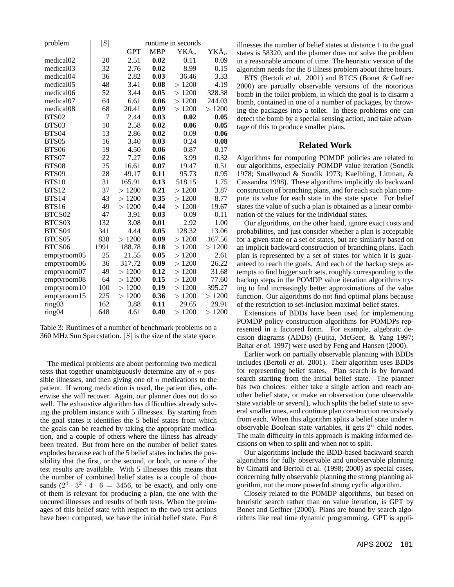| problem               | S               | runtime in seconds   |            |                     |                     |
|-----------------------|-----------------|----------------------|------------|---------------------|---------------------|
|                       |                 | <b>GPT</b>           | <b>MBP</b> | ${\rm YK\ddot A}_e$ | ${\rm YK\ddot A}_h$ |
| medical <sub>02</sub> | $\overline{20}$ | 2.51                 | 0.02       | $\overline{0.11}$   | 0.09                |
| medical03             | 32              | 2.76                 | 0.02       | 8.99                | 0.15                |
| medical04             | 36              | 2.82                 | 0.03       | 36.46               | 3.33                |
| medical05             | 48              | 3.41                 | 0.08       | >1200               | 4.19                |
| medical06             | 52              | 3.44                 | 0.05       | >1200               | 328.38              |
| medical07             | 64              | 6.61                 | 0.06       | >1200               | 244.03              |
| medical <sub>08</sub> | 68              | 20.41                | 0.09       | >1200               | >1200               |
| <b>BTS02</b>          | 7               | 2.44                 | 0.03       | 0.02                | 0.05                |
| BTS03                 | 10              | 2.58                 | 0.02       | 0.06                | 0.05                |
| BTS <sub>04</sub>     | 13              | 2.86                 | 0.02       | 0.09                | 0.06                |
| BTS <sub>05</sub>     | 16              | 3.40                 | 0.03       | 0.24                | 0.08                |
| <b>BTS06</b>          | 19              | 4.50                 | 0.06       | 0.87                | 0.17                |
| BTS07                 | 22              | 7.27                 | 0.06       | 3.99                | 0.32                |
| <b>BTS08</b>          | 25              | 16.61                | 0.07       | 19.47               | 0.51                |
| <b>BTS09</b>          | 28              | 49.17                | 0.11       | 95.73               | 0.95                |
| <b>BTS10</b>          | 31              | 165.91               | 0.13       | 518.15              | 1.75                |
| <b>BTS12</b>          | 37              | >1200                | 0.21       | >1200               | 3.87                |
| <b>BTS14</b>          | 43              | >1200                | 0.35       | >1200               | 8.77                |
| <b>BTS16</b>          | 49              | 1200<br>$\gt$        | 0.44       | >1200               | 19.67               |
| BTCS02                | 47              | 3.91                 | 0.03       | 0.09                | 0.11                |
| BTCS03                | 132             | 3.08                 | 0.01       | 2.92                | 1.00                |
| BTCS04                | 341             | 4.44                 | 0.05       | 128.32              | 13.06               |
| BTCS05                | 838             | >1200                | 0.09       | >1200               | 167.56              |
| BTCS06                | 1991            | 188.78               | 0.18       | >1200               | >1200               |
| emptyroom05           | 25              | 21.55                | 0.05       | >1200               | 2.61                |
| emptyroom06           | 36              | 317.72               | 0.09       | >1200               | 26.22               |
| emptyroom07           | 49              | >1200                | 0.12       | >1200               | 31.68               |
| emptyroom08           | 64              | 1200<br>$\mathbf{L}$ | 0.15       | >1200               | 77.60               |
| emptyroom10           | 100             | 1200<br>$\geq$       | 0.19       | >1200               | 395.27              |
| emptyroom15           | 225             | 1200<br>$\geq$       | 0.36       | >1200               | >1200               |
| ring <sub>03</sub>    | 162             | 3.88                 | 0.11       | 29.65               | 29.91               |
| ring <sub>04</sub>    | 648             | 4.61                 | 0.40       | >1200               | >1200               |

Table 3: Runtimes of a number of benchmark problems on a 360 MHz Sun Sparcstation.  $|S|$  is the size of the state space.

The medical problems are about performing two medical tests that together unambiguously determine any of  $n$  possible illnesses, and then giving one of  $n$  medications to the patient. If wrong medication is used, the patient dies, otherwise she will recover. Again, our planner does not do so well. The exhaustive algorithm has difficulties already solving the problem instance with 5 illnesses. By starting from the goal states it identifies the 5 belief states from which the goals can be reached by taking the appropriate medication, and a couple of others where the illness has already been treated. But from here on the number of belief states explodes because each of the 5 belief states includes the possibility that the first, or the second, or both, or none of the test results are available. With 5 illnesses this means that the number of combined belief states is a couple of thousands  $(2^4 \cdot 3^2 \cdot 4 \cdot 6 = 3456$ , to be exact), and only one of them is relevant for producing a plan, the one with the uncured illnesses and results of both tests. When the preimages of this belief state with respect to the two test actions have been computed, we have the initial belief state. For 8

illnesses the number of belief states at distance 1 to the goal states is 58320, and the planner does not solve the problem in a reasonable amount of time. The heuristic version of the algorithm needs for the 8 illness problem about three hours.

BTS (Bertoli *et al.* 2001) and BTCS (Bonet & Geffner 2000) are partially observable versions of the notorious bomb in the toilet problem, in which the goal is to disarm a bomb, contained in one of a number of packages, by throwing the packages into a toilet. In these problems one can detect the bomb by a special sensing action, and take advantage of this to produce smaller plans.

### **Related Work**

Algorithms for computing POMDP policies are related to our algorithms, especially POMDP value iteration (Sondik 1978; Smallwood & Sondik 1973; Kaelbling, Littman, & Cassandra 1998). These algorithms implicitly do backward construction of branching plans, and for each such plan compute its value for each state in the state space. For belief states the value of such a plan is obtained as a linear combination of the values for the individual states.

Our algorithms, on the other hand, ignore exact costs and probabilities, and just consider whether a plan is acceptable for a given state or a set of states, but are similarly based on an implicit backward construction of branching plans. Each plan is represented by a set of states for which it is guaranteed to reach the goals. And each of the backup steps attempts to find bigger such sets, roughly corresponding to the backup steps in the POMDP value iteration algorithms trying to find increasingly better approximations of the value function. Our algorithms do not find optimal plans because of the restriction to set-inclusion maximal belief states.

Extensions of BDDs have been used for implementing POMDP policy construction algorithms for POMDPs represented in a factored form. For example, algebraic decision diagrams (ADDs) (Fujita, McGeer, & Yang 1997; Bahar *et al.* 1997) were used by Feng and Hansen (2000).

Earlier work on partially observable planning with BDDs includes (Bertoli *et al.* 2001). Their algorithm uses BDDs for representing belief states. Plan search is by forward search starting from the initial belief state. The planner has two choices: either take a single action and reach another belief state, or make an observation (one observable state variable or several), which splits the belief state to several smaller ones, and continue plan construction recursively from each. When this algorithm splits a belief state under  $n$ observable Boolean state variables, it gets  $2^n$  child nodes. The main difficulty in this approach is making informed decisions on when to split and when not to split.

Our algorithms include the BDD-based backward search algorithms for fully observable and unobservable planning by Cimatti and Bertoli et al. (1998; 2000) as special cases, concerning fully observable planning the strong planning algorithm, not the more powerful strong cyclic algorithm.

Closely related to the POMDP algorithms, but based on heuristic search rather than on value iteration, is GPT by Bonet and Geffner (2000). Plans are found by search algorithms like real time dynamic programming. GPT is appli